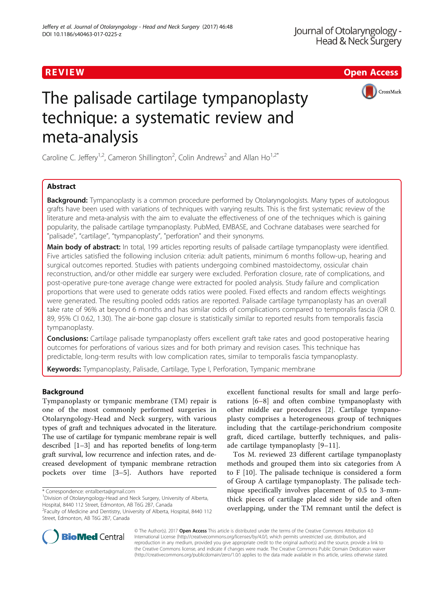# R EVI EW Open Access



# The palisade cartilage tympanoplasty technique: a systematic review and meta-analysis

Caroline C. Jeffery<sup>1,2</sup>, Cameron Shillington<sup>2</sup>, Colin Andrews<sup>2</sup> and Allan Ho<sup>1,2\*</sup>

# Abstract

Background: Tympanoplasty is a common procedure performed by Otolaryngologists. Many types of autologous grafts have been used with variations of techniques with varying results. This is the first systematic review of the literature and meta-analysis with the aim to evaluate the effectiveness of one of the techniques which is gaining popularity, the palisade cartilage tympanoplasty. PubMed, EMBASE, and Cochrane databases were searched for "palisade", "cartilage", "tympanoplasty", "perforation" and their synonyms.

Main body of abstract: In total, 199 articles reporting results of palisade cartilage tympanoplasty were identified. Five articles satisfied the following inclusion criteria: adult patients, minimum 6 months follow-up, hearing and surgical outcomes reported. Studies with patients undergoing combined mastoidectomy, ossicular chain reconstruction, and/or other middle ear surgery were excluded. Perforation closure, rate of complications, and post-operative pure-tone average change were extracted for pooled analysis. Study failure and complication proportions that were used to generate odds ratios were pooled. Fixed effects and random effects weightings were generated. The resulting pooled odds ratios are reported. Palisade cartilage tympanoplasty has an overall take rate of 96% at beyond 6 months and has similar odds of complications compared to temporalis fascia (OR 0. 89, 95% CI 0.62, 1.30). The air-bone gap closure is statistically similar to reported results from temporalis fascia tympanoplasty.

**Conclusions:** Cartilage palisade tympanoplasty offers excellent graft take rates and good postoperative hearing outcomes for perforations of various sizes and for both primary and revision cases. This technique has predictable, long-term results with low complication rates, similar to temporalis fascia tympanoplasty.

Keywords: Tympanoplasty, Palisade, Cartilage, Type I, Perforation, Tympanic membrane

# Background

Tympanoplasty or tympanic membrane (TM) repair is one of the most commonly performed surgeries in Otolaryngology-Head and Neck surgery, with various types of graft and techniques advocated in the literature. The use of cartilage for tympanic membrane repair is well described [\[1](#page-5-0)–[3\]](#page-5-0) and has reported benefits of long-term graft survival, low recurrence and infection rates, and decreased development of tympanic membrane retraction pockets over time [[3](#page-5-0)–[5\]](#page-5-0). Authors have reported

excellent functional results for small and large perforations [[6](#page-5-0)–[8\]](#page-5-0) and often combine tympanoplasty with other middle ear procedures [[2\]](#page-5-0). Cartilage tympanoplasty comprises a heterogeneous group of techniques including that the cartilage-perichondrium composite graft, diced cartilage, butterfly techniques, and palisade cartilage tympanoplasty [[9](#page-5-0)–[11\]](#page-5-0).

Tos M. reviewed 23 different cartilage tympanoplasty methods and grouped them into six categories from A to F [\[10](#page-5-0)]. The palisade technique is considered a form of Group A cartilage tympanoplasty. The palisade technique specifically involves placement of 0.5 to 3-mmthick pieces of cartilage placed side by side and often overlapping, under the TM remnant until the defect is



© The Author(s). 2017 **Open Access** This article is distributed under the terms of the Creative Commons Attribution 4.0 International License [\(http://creativecommons.org/licenses/by/4.0/](http://creativecommons.org/licenses/by/4.0/)), which permits unrestricted use, distribution, and reproduction in any medium, provided you give appropriate credit to the original author(s) and the source, provide a link to the Creative Commons license, and indicate if changes were made. The Creative Commons Public Domain Dedication waiver [\(http://creativecommons.org/publicdomain/zero/1.0/](http://creativecommons.org/publicdomain/zero/1.0/)) applies to the data made available in this article, unless otherwise stated.

<sup>\*</sup> Correspondence: [entalberta@gmail.com](mailto:entalberta@gmail.com) <sup>1</sup>

<sup>&</sup>lt;sup>1</sup> Division of Otolaryngology-Head and Neck Surgery, University of Alberta, Hospital, 8440 112 Street, Edmonton, AB T6G 2B7, Canada

<sup>&</sup>lt;sup>2</sup> Faculty of Medicine and Dentistry, University of Alberta, Hospital, 8440 112 Street, Edmonton, AB T6G 2B7, Canada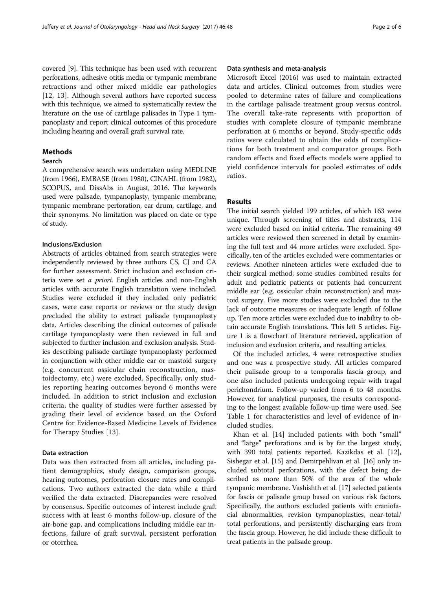covered [\[9](#page-5-0)]. This technique has been used with recurrent perforations, adhesive otitis media or tympanic membrane retractions and other mixed middle ear pathologies [[12](#page-5-0), [13\]](#page-5-0). Although several authors have reported success with this technique, we aimed to systematically review the literature on the use of cartilage palisades in Type 1 tympanoplasty and report clinical outcomes of this procedure including hearing and overall graft survival rate.

# Methods

# Search

A comprehensive search was undertaken using MEDLINE (from 1966), EMBASE (from 1980), CINAHL (from 1982), SCOPUS, and DissAbs in August, 2016. The keywords used were palisade, tympanoplasty, tympanic membrane, tympanic membrane perforation, ear drum, cartilage, and their synonyms. No limitation was placed on date or type of study.

# Inclusions/Exclusion

Abstracts of articles obtained from search strategies were independently reviewed by three authors CS, CJ and CA for further assessment. Strict inclusion and exclusion criteria were set a priori. English articles and non-English articles with accurate English translation were included. Studies were excluded if they included only pediatric cases, were case reports or reviews or the study design precluded the ability to extract palisade tympanoplasty data. Articles describing the clinical outcomes of palisade cartilage tympanoplasty were then reviewed in full and subjected to further inclusion and exclusion analysis. Studies describing palisade cartilage tympanoplasty performed in conjunction with other middle ear or mastoid surgery (e.g. concurrent ossicular chain reconstruction, mastoidectomy, etc.) were excluded. Specifically, only studies reporting hearing outcomes beyond 6 months were included. In addition to strict inclusion and exclusion criteria, the quality of studies were further assessed by grading their level of evidence based on the Oxford Centre for Evidence-Based Medicine Levels of Evidence for Therapy Studies [\[13](#page-5-0)].

#### Data extraction

Data was then extracted from all articles, including patient demographics, study design, comparison groups, hearing outcomes, perforation closure rates and complications. Two authors extracted the data while a third verified the data extracted. Discrepancies were resolved by consensus. Specific outcomes of interest include graft success with at least 6 months follow-up, closure of the air-bone gap, and complications including middle ear infections, failure of graft survival, persistent perforation or otorrhea.

# Data synthesis and meta-analysis

Microsoft Excel (2016) was used to maintain extracted data and articles. Clinical outcomes from studies were pooled to determine rates of failure and complications in the cartilage palisade treatment group versus control. The overall take-rate represents with proportion of studies with complete closure of tympanic membrane perforation at 6 months or beyond. Study-specific odds ratios were calculated to obtain the odds of complications for both treatment and comparator groups. Both random effects and fixed effects models were applied to yield confidence intervals for pooled estimates of odds ratios.

# Results

The initial search yielded 199 articles, of which 163 were unique. Through screening of titles and abstracts, 114 were excluded based on initial criteria. The remaining 49 articles were reviewed then screened in detail by examining the full text and 44 more articles were excluded. Specifically, ten of the articles excluded were commentaries or reviews. Another nineteen articles were excluded due to their surgical method; some studies combined results for adult and pediatric patients or patients had concurrent middle ear (e.g. ossicular chain reconstruction) and mastoid surgery. Five more studies were excluded due to the lack of outcome measures or inadequate length of follow up. Ten more articles were excluded due to inability to obtain accurate English translations. This left 5 articles. Figure [1](#page-2-0) is a flowchart of literature retrieved, application of inclusion and exclusion criteria, and resulting articles.

Of the included articles, 4 were retrospective studies and one was a prospective study. All articles compared their palisade group to a temporalis fascia group, and one also included patients undergoing repair with tragal perichondrium. Follow-up varied from 6 to 48 months. However, for analytical purposes, the results corresponding to the longest available follow-up time were used. See Table [1](#page-2-0) for characteristics and level of evidence of included studies.

Khan et al. [[14\]](#page-5-0) included patients with both "small" and "large" perforations and is by far the largest study, with 390 total patients reported. Kazikdas et al. [\[12](#page-5-0)], Sishegar et al. [\[15](#page-5-0)] and Demirpehlivan et al. [[16](#page-5-0)] only included subtotal perforations, with the defect being described as more than 50% of the area of the whole tympanic membrane. Vashishth et al. [[17](#page-5-0)] selected patients for fascia or palisade group based on various risk factors. Specifically, the authors excluded patients with craniofacial abnormalities, revision tympanoplasties, near-total/ total perforations, and persistently discharging ears from the fascia group. However, he did include these difficult to treat patients in the palisade group.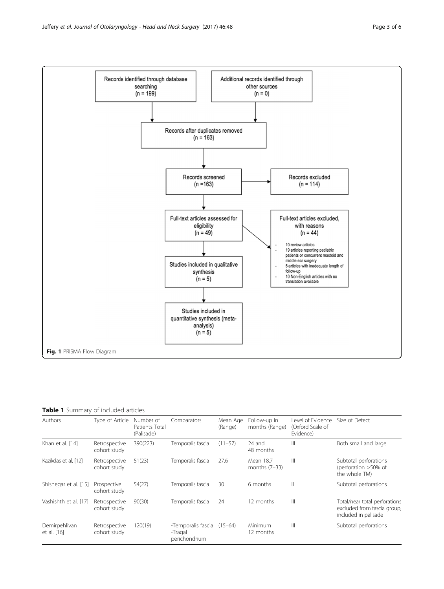<span id="page-2-0"></span>

# Table 1 Summary of included articles

| Authors                      | Type of Article               | Number of<br>Patients Total<br>(Palisade) | Comparators                                    | Mean Age<br>(Range) | Follow-up in<br>months (Range) | Level of Evidence<br>(Oxford Scale of<br>Evidence) | Size of Defect                                                                       |
|------------------------------|-------------------------------|-------------------------------------------|------------------------------------------------|---------------------|--------------------------------|----------------------------------------------------|--------------------------------------------------------------------------------------|
| Khan et al. [14]             | Retrospective<br>cohort study | 390(223)                                  | Temporalis fascia                              | $(11 - 57)$         | 24 and<br>48 months            | Ш                                                  | Both small and large                                                                 |
| Kazikdas et al. [12]         | Retrospective<br>cohort study | 51(23)                                    | Temporalis fascia                              | 27.6                | Mean 18.7<br>months $(7-33)$   | Ш                                                  | Subtotal perforations<br>(perforation >50% of<br>the whole TM)                       |
| Shishegar et al. [15]        | Prospective<br>cohort study   | 54(27)                                    | Temporalis fascia                              | 30                  | 6 months                       | Ш                                                  | Subtotal perforations                                                                |
| Vashishth et al. [17]        | Retrospective<br>cohort study | 90(30)                                    | Temporalis fascia                              | 24                  | 12 months                      | Ш                                                  | Total/near total perforations<br>excluded from fascia group,<br>included in palisade |
| Demirpehlivan<br>et al. [16] | Retrospective<br>cohort study | 120(19)                                   | -Temporalis fascia<br>-Tragal<br>perichondrium | $(15 - 64)$         | Minimum<br>12 months           | Ш                                                  | Subtotal perforations                                                                |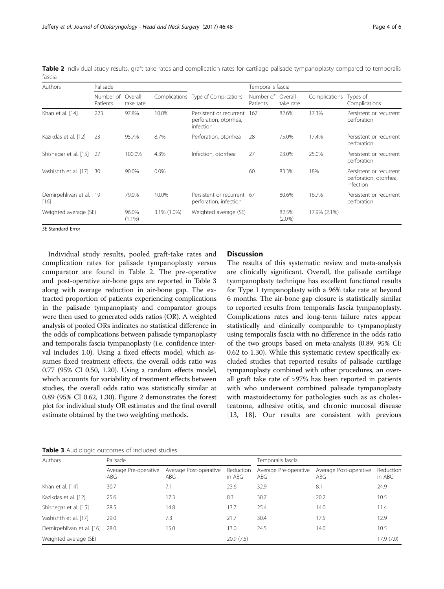Table 2 Individual study results, graft take rates and complication rates for cartilage palisade tympanoplasty compared to temporalis fascia

| <b>Authors</b>                    | Palisade              |                      |             |                                                                | Temporalis fascia     |                      |               |                                                                |  |
|-----------------------------------|-----------------------|----------------------|-------------|----------------------------------------------------------------|-----------------------|----------------------|---------------|----------------------------------------------------------------|--|
|                                   | Number of<br>Patients | Overall<br>take rate |             | Complications Type of Complications                            | Number of<br>Patients | Overall<br>take rate | Complications | Types of<br>Complications                                      |  |
| Khan et al. [14]                  | 223                   | 97.8%                | 10.0%       | Persistent or recurrent<br>perforation, otorrhea,<br>infection | 167                   | 82.6%                | 17.3%         | Persistent or recurrent<br>perforation                         |  |
| Kazikdas et al. [12]              | 23                    | 95.7%                | 8.7%        | Perforation, otorrhea                                          | 28                    | 75.0%                | 17.4%         | Persistent or recurrent<br>perforation                         |  |
| Shishegar et al. [15]             | -27                   | 100.0%               | 4.3%        | Infection, otorrhea                                            | 27                    | 93.0%                | 25.0%         | Persistent or recurrent<br>perforation                         |  |
| Vashishth et al. [17]             | 30                    | 90.0%                | $0.0\%$     |                                                                | 60                    | 83.3%                | 18%           | Persistent or recurrent<br>perforation, otorrhea,<br>infection |  |
| Demirpehlivan et al. 19<br>$[16]$ |                       | 79.0%                | 10.0%       | Persistent or recurrent 67<br>perforation, infection           |                       | 80.6%                | 16.7%         | Persistent or recurrent<br>perforation                         |  |
| Weighted average (SE)             |                       | 96.0%<br>$(1.1\%)$   | 3.1% (1.0%) | Weighted average (SE)                                          |                       | 82.5%<br>$(2.0\%)$   | 17.9% (2.1%)  |                                                                |  |

SE Standard Error

Individual study results, pooled graft-take rates and complication rates for palisade tympanoplasty versus comparator are found in Table 2. The pre-operative and post-operative air-bone gaps are reported in Table 3 along with average reduction in air-bone gap. The extracted proportion of patients experiencing complications in the palisade tympanoplasty and comparator groups were then used to generated odds ratios (OR). A weighted analysis of pooled ORs indicates no statistical difference in the odds of complications between palisade tympanoplasty and temporalis fascia tympanoplasty (i.e. confidence interval includes 1.0). Using a fixed effects model, which assumes fixed treatment effects, the overall odds ratio was 0.77 (95% CI 0.50, 1.20). Using a random effects model, which accounts for variability of treatment effects between studies, the overall odds ratio was statistically similar at 0.89 (95% CI 0.62, 1.30). Figure [2](#page-4-0) demonstrates the forest plot for individual study OR estimates and the final overall estimate obtained by the two weighting methods.

# Discussion

The results of this systematic review and meta-analysis are clinically significant. Overall, the palisade cartilage tyampanoplasty technique has excellent functional results for Type 1 tympanoplasty with a 96% take rate at beyond 6 months. The air-bone gap closure is statistically similar to reported results from temporalis fascia tympanoplasty. Complications rates and long-term failure rates appear statistically and clinically comparable to tympanoplasty using temporalis fascia with no difference in the odds ratio of the two groups based on meta-analysis (0.89, 95% CI: 0.62 to 1.30). While this systematic review specifically excluded studies that reported results of palisade cartilage tympanoplasty combined with other procedures, an overall graft take rate of >97% has been reported in patients with who underwent combined palisade tympanoplasty with mastoidectomy for pathologies such as as cholesteatoma, adhesive otitis, and chronic mucosal disease [[13, 18\]](#page-5-0). Our results are consistent with previous

|  | Table 3 Audiologic outcomes of included studies |  |  |  |
|--|-------------------------------------------------|--|--|--|
|--|-------------------------------------------------|--|--|--|

| Palisade                     |                               |                     | Temporalis fascia            |                               |                     |  |
|------------------------------|-------------------------------|---------------------|------------------------------|-------------------------------|---------------------|--|
| Average Pre-operative<br>ABG | Average Post-operative<br>ABG | Reduction<br>in ABG | Average Pre-operative<br>ABG | Average Post-operative<br>ABG | Reduction<br>in ABG |  |
| 30.7                         | 7.1                           | 23.6                | 32.9                         | 8.1                           | 24.9                |  |
| 25.6                         | 17.3                          | 8.3                 | 30.7                         | 20.2                          | 10.5                |  |
| 28.5                         | 14.8                          | 13.7                | 25.4                         | 14.0                          | 11.4                |  |
| 29.0                         | 7.3                           | 21.7                | 30.4                         | 17.5                          | 12.9                |  |
| 28.0                         | 15.0                          | 13.0                | 24.5                         | 14.0                          | 10.5                |  |
|                              |                               | 20.9(7.5)           |                              |                               | 17.9(7.0)           |  |
|                              |                               |                     |                              |                               |                     |  |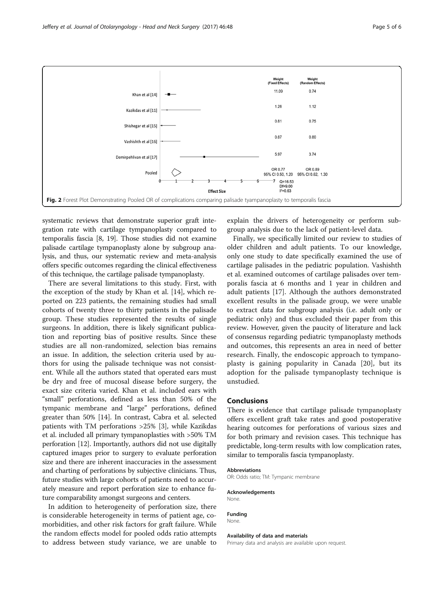<span id="page-4-0"></span>

systematic reviews that demonstrate superior graft integration rate with cartilage tympanoplasty compared to temporalis fascia [\[8, 19\]](#page-5-0). Those studies did not examine palisade cartilage tympanoplasty alone by subgroup analysis, and thus, our systematic review and meta-analysis offers specific outcomes regarding the clinical effectiveness of this technique, the cartilage palisade tympanoplasty.

There are several limitations to this study. First, with the exception of the study by Khan et al. [[14](#page-5-0)], which reported on 223 patients, the remaining studies had small cohorts of twenty three to thirty patients in the palisade group. These studies represented the results of single surgeons. In addition, there is likely significant publication and reporting bias of positive results. Since these studies are all non-randomized, selection bias remains an issue. In addition, the selection criteria used by authors for using the palisade technique was not consistent. While all the authors stated that operated ears must be dry and free of mucosal disease before surgery, the exact size criteria varied. Khan et al. included ears with "small" perforations, defined as less than 50% of the tympanic membrane and "large" perforations, defined greater than 50% [[14\]](#page-5-0). In contrast, Cabra et al. selected patients with TM perforations >25% [\[3\]](#page-5-0), while Kazikdas et al. included all primary tympanoplasties with >50% TM perforation [\[12\]](#page-5-0). Importantly, authors did not use digitally captured images prior to surgery to evaluate perforation size and there are inherent inaccuracies in the assessment and charting of perforations by subjective clinicians. Thus, future studies with large cohorts of patients need to accurately measure and report perforation size to enhance future comparability amongst surgeons and centers.

In addition to heterogeneity of perforation size, there is considerable heterogeneity in terms of patient age, comorbidities, and other risk factors for graft failure. While the random effects model for pooled odds ratio attempts to address between study variance, we are unable to

explain the drivers of heterogeneity or perform subgroup analysis due to the lack of patient-level data.

Finally, we specifically limited our review to studies of older children and adult patients. To our knowledge, only one study to date specifically examined the use of cartilage palisades in the pediatric population. Vashishth et al. examined outcomes of cartilage palisades over temporalis fascia at 6 months and 1 year in children and adult patients [[17\]](#page-5-0). Although the authors demonstrated excellent results in the palisade group, we were unable to extract data for subgroup analysis (i.e. adult only or pediatric only) and thus excluded their paper from this review. However, given the paucity of literature and lack of consensus regarding pediatric tympanoplasty methods and outcomes, this represents an area in need of better research. Finally, the endoscopic approach to tympanoplasty is gaining popularity in Canada [\[20](#page-5-0)], but its adoption for the palisade tympanoplasty technique is unstudied.

#### Conclusions

There is evidence that cartilage palisade tympanoplasty offers excellent graft take rates and good postoperative hearing outcomes for perforations of various sizes and for both primary and revision cases. This technique has predictable, long-term results with low complication rates, similar to temporalis fascia tympanoplasty.

#### Abbreviations

OR: Odds ratio; TM: Tympanic membrane

#### Acknowledgements None.

Funding None.

#### Availability of data and materials

Primary data and analysis are available upon request.